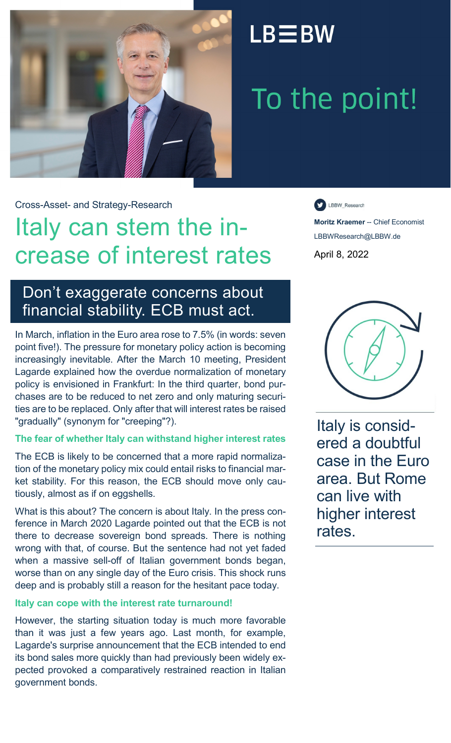

## $LB \equiv BW$

# To the point!

Cross-Asset- and Strategy-Research

## Italy can stem the increase of interest rates

### Don't exaggerate concerns about financial stability. ECB must act.

In March, inflation in the Euro area rose to 7.5% (in words: seven point five!). The pressure for monetary policy action is becoming increasingly inevitable. After the March 10 meeting, President Lagarde explained how the overdue normalization of monetary policy is envisioned in Frankfurt: In the third quarter, bond purchases are to be reduced to net zero and only maturing securities are to be replaced. Only after that will interest rates be raised "gradually" (synonym for "creeping"?).

#### **The fear of whether Italy can withstand higher interest rates**

The ECB is likely to be concerned that a more rapid normalization of the monetary policy mix could entail risks to financial market stability. For this reason, the ECB should move only cautiously, almost as if on eggshells.

What is this about? The concern is about Italy. In the press conference in March 2020 Lagarde pointed out that the ECB is not there to decrease sovereign bond spreads. There is nothing wrong with that, of course. But the sentence had not yet faded when a massive sell-off of Italian government bonds began, worse than on any single day of the Euro crisis. This shock runs deep and is probably still a reason for the hesitant pace today.

#### **Italy can cope with the interest rate turnaround!**

However, the starting situation today is much more favorable than it was just a few years ago. Last month, for example, Lagarde's surprise announcement that the ECB intended to end its bond sales more quickly than had previously been widely expected provoked a comparatively restrained reaction in Italian government bonds.

LBBW\_Research

**Moritz Kraemer** -- Chief Economist LBBWResearch@LBBW.de April 8, 2022



Italy is considered a doubtful case in the Euro area. But Rome can live with higher interest rates.